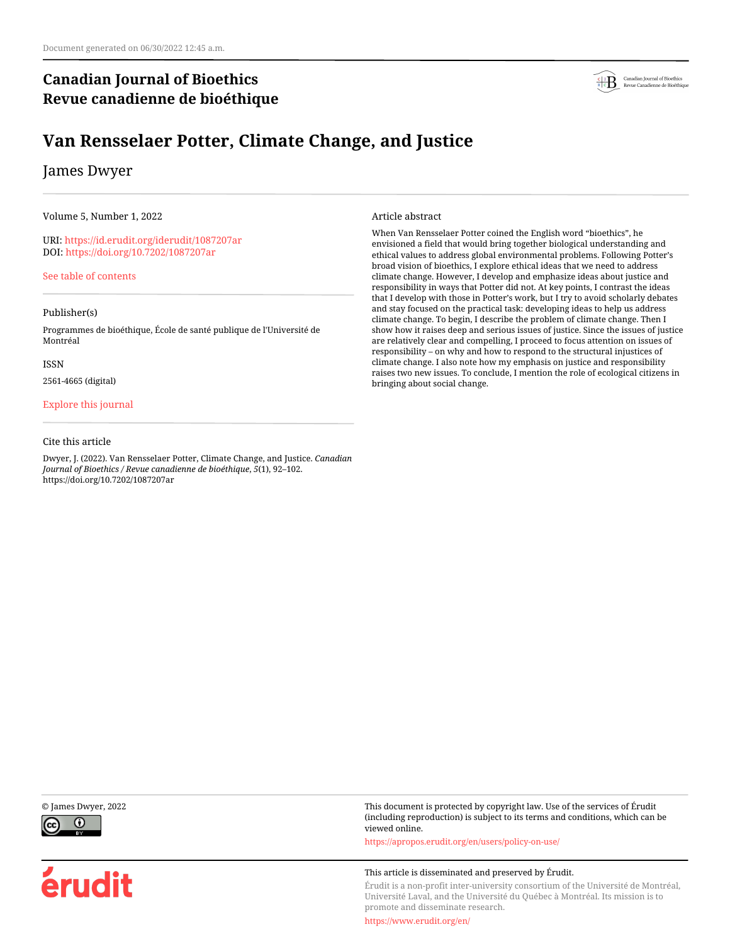# **Canadian Journal of Bioethics Revue canadienne de bioéthique**



# **Van Rensselaer Potter, Climate Change, and Justice**

# James Dwyer

Volume 5, Number 1, 2022

URI:<https://id.erudit.org/iderudit/1087207ar> DOI:<https://doi.org/10.7202/1087207ar>

[See table of contents](https://www.erudit.org/en/journals/bioethics/2022-v5-n1-bioethics06848/)

#### Publisher(s)

Programmes de bioéthique, École de santé publique de l'Université de Montréal

ISSN

2561-4665 (digital)

#### [Explore this journal](https://www.erudit.org/en/journals/bioethics/)

#### Cite this article

Dwyer, J. (2022). Van Rensselaer Potter, Climate Change, and Justice. *Canadian Journal of Bioethics / Revue canadienne de bioéthique*, *5*(1), 92–102. https://doi.org/10.7202/1087207ar

#### Article abstract

When Van Rensselaer Potter coined the English word "bioethics", he envisioned a field that would bring together biological understanding and ethical values to address global environmental problems. Following Potter's broad vision of bioethics, I explore ethical ideas that we need to address climate change. However, I develop and emphasize ideas about justice and responsibility in ways that Potter did not. At key points, I contrast the ideas that I develop with those in Potter's work, but I try to avoid scholarly debates and stay focused on the practical task: developing ideas to help us address climate change. To begin, I describe the problem of climate change. Then I show how it raises deep and serious issues of justice. Since the issues of justice are relatively clear and compelling, I proceed to focus attention on issues of responsibility – on why and how to respond to the structural injustices of climate change. I also note how my emphasis on justice and responsibility raises two new issues. To conclude, I mention the role of ecological citizens in bringing about social change.





érudit

© James Dwyer, 2022 This document is protected by copyright law. Use of the services of Érudit (including reproduction) is subject to its terms and conditions, which can be viewed online.

<https://apropos.erudit.org/en/users/policy-on-use/>

#### This article is disseminated and preserved by Érudit.

Érudit is a non-profit inter-university consortium of the Université de Montréal, Université Laval, and the Université du Québec à Montréal. Its mission is to promote and disseminate research.

<https://www.erudit.org/en/>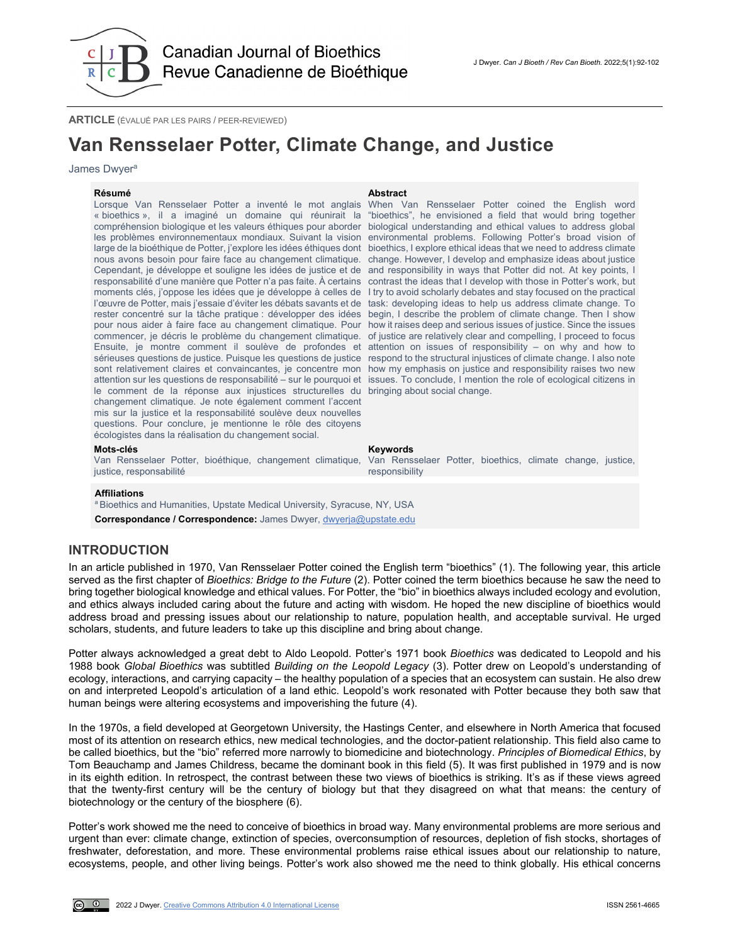

**ARTICLE** (ÉVALUÉ PAR LES PAIRS / PEER-REVIEWED)

# **Van Rensselaer Potter, Climate Change, and Justice**

#### James Dwyer<sup>a</sup>

**Résumé Abstract** Lorsque Van Rensselaer Potter a inventé le mot anglais When Van Rensselaer Potter coined the English word « bioethics », il a imaginé un domaine qui réunirait la "bioethics", he envisioned a field that would bring together compréhension biologique et les valeurs éthiques pour aborder biological understanding and ethical values to address global les problèmes environnementaux mondiaux. Suivant la vision environmental problems. Following Potter's broad vision of large de la bioéthique de Potter, j'explore les idées éthiques dont bioethics, I explore ethical ideas that we need to address climate nous avons besoin pour faire face au changement climatique. change. However, I develop and emphasize ideas about justice Cependant, je développe et souligne les idées de justice et de and responsibility in ways that Potter did not. At key points, I responsabilité d'une manière que Potter n'a pas faite. À certains contrast the ideas that I develop with those in Potter's work, but moments clés, j'oppose les idées que je développe à celles de I try to avoid scholarly debates and stay focused on the practical l'œuvre de Potter, mais j'essaie d'éviter les débats savants et de task: developing ideas to help us address climate change. To rester concentré sur la tâche pratique : développer des idées pour nous aider à faire face au changement climatique. Pour how it raises deep and serious issues of justice. Since the issues commencer, je décris le problème du changement climatique. of justice are relatively clear and compelling, l proceed to focus Ensuite, je montre comment il soulève de profondes et sérieuses questions de justice. Puisque les questions de justice \_respond to the structural injustices of climate change. I also note sont relativement claires et convaincantes, je concentre mon how my emphasis on justice and responsibility raises two new attention sur les questions de responsabilité – sur le pourquoi et issues. To conclude, I mention the role of ecological citizens in le comment de la réponse aux injustices structurelles du bringing about social change. changement climatique. Je note également comment l'accent mis sur la justice et la responsabilité soulève deux nouvelles questions. Pour conclure, je mentionne le rôle des citoyens écologistes dans la réalisation du changement social.

begin, I describe the problem of climate change. Then I show attention on issues of responsibility – on why and how to

#### **Mots-clés Keywords**

Van Rensselaer Potter, bioéthique, changement climatique, justice, responsabilité

Van Rensselaer Potter, bioethics, climate change, justice, responsibility

#### **Affiliations**

<sup>a</sup> Bioethics and Humanities, Upstate Medical University, Syracuse, NY, USA

**Correspondance / Correspondence:** James Dwyer, [dwyerja@upstate.edu](mailto:dwyerja@upstate.edu)

#### **INTRODUCTION**

In an article published in 1970, Van Rensselaer Potter coined the English term "bioethics" (1). The following year, this article served as the first chapter of *Bioethics: Bridge to the Future* (2). Potter coined the term bioethics because he saw the need to bring together biological knowledge and ethical values. For Potter, the "bio" in bioethics always included ecology and evolution, and ethics always included caring about the future and acting with wisdom. He hoped the new discipline of bioethics would address broad and pressing issues about our relationship to nature, population health, and acceptable survival. He urged scholars, students, and future leaders to take up this discipline and bring about change.

Potter always acknowledged a great debt to Aldo Leopold. Potter's 1971 book *Bioethics* was dedicated to Leopold and his 1988 book *Global Bioethics* was subtitled *Building on the Leopold Legacy* (3). Potter drew on Leopold's understanding of ecology, interactions, and carrying capacity – the healthy population of a species that an ecosystem can sustain. He also drew on and interpreted Leopold's articulation of a land ethic. Leopold's work resonated with Potter because they both saw that human beings were altering ecosystems and impoverishing the future (4).

In the 1970s, a field developed at Georgetown University, the Hastings Center, and elsewhere in North America that focused most of its attention on research ethics, new medical technologies, and the doctor-patient relationship. This field also came to be called bioethics, but the "bio" referred more narrowly to biomedicine and biotechnology. *Principles of Biomedical Ethics*, by Tom Beauchamp and James Childress, became the dominant book in this field (5). It was first published in 1979 and is now in its eighth edition. In retrospect, the contrast between these two views of bioethics is striking. It's as if these views agreed that the twenty-first century will be the century of biology but that they disagreed on what that means: the century of biotechnology or the century of the biosphere (6).

Potter's work showed me the need to conceive of bioethics in broad way. Many environmental problems are more serious and urgent than ever: climate change, extinction of species, overconsumption of resources, depletion of fish stocks, shortages of freshwater, deforestation, and more. These environmental problems raise ethical issues about our relationship to nature, ecosystems, people, and other living beings. Potter's work also showed me the need to think globally. His ethical concerns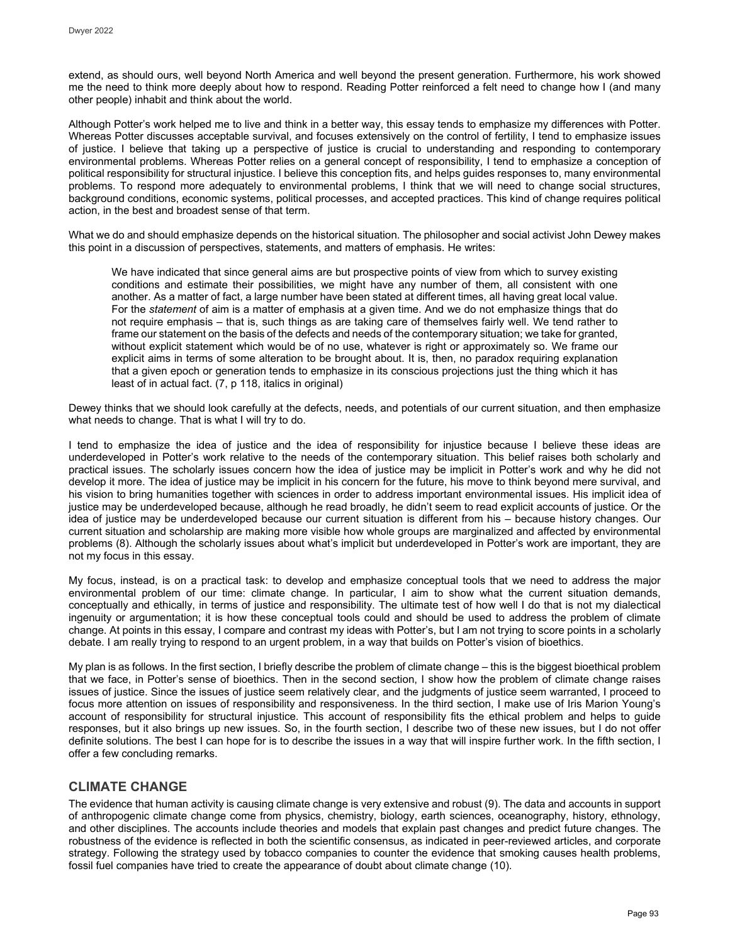extend, as should ours, well beyond North America and well beyond the present generation. Furthermore, his work showed me the need to think more deeply about how to respond. Reading Potter reinforced a felt need to change how I (and many other people) inhabit and think about the world.

Although Potter's work helped me to live and think in a better way, this essay tends to emphasize my differences with Potter. Whereas Potter discusses acceptable survival, and focuses extensively on the control of fertility, I tend to emphasize issues of justice. I believe that taking up a perspective of justice is crucial to understanding and responding to contemporary environmental problems. Whereas Potter relies on a general concept of responsibility, I tend to emphasize a conception of political responsibility for structural injustice. I believe this conception fits, and helps guides responses to, many environmental problems. To respond more adequately to environmental problems, I think that we will need to change social structures, background conditions, economic systems, political processes, and accepted practices. This kind of change requires political action, in the best and broadest sense of that term.

What we do and should emphasize depends on the historical situation. The philosopher and social activist John Dewey makes this point in a discussion of perspectives, statements, and matters of emphasis. He writes:

We have indicated that since general aims are but prospective points of view from which to survey existing conditions and estimate their possibilities, we might have any number of them, all consistent with one another. As a matter of fact, a large number have been stated at different times, all having great local value. For the *statement* of aim is a matter of emphasis at a given time. And we do not emphasize things that do not require emphasis – that is, such things as are taking care of themselves fairly well. We tend rather to frame our statement on the basis of the defects and needs of the contemporary situation; we take for granted, without explicit statement which would be of no use, whatever is right or approximately so. We frame our explicit aims in terms of some alteration to be brought about. It is, then, no paradox requiring explanation that a given epoch or generation tends to emphasize in its conscious projections just the thing which it has least of in actual fact. (7, p 118, italics in original)

Dewey thinks that we should look carefully at the defects, needs, and potentials of our current situation, and then emphasize what needs to change. That is what I will try to do.

I tend to emphasize the idea of justice and the idea of responsibility for injustice because I believe these ideas are underdeveloped in Potter's work relative to the needs of the contemporary situation. This belief raises both scholarly and practical issues. The scholarly issues concern how the idea of justice may be implicit in Potter's work and why he did not develop it more. The idea of justice may be implicit in his concern for the future, his move to think beyond mere survival, and his vision to bring humanities together with sciences in order to address important environmental issues. His implicit idea of justice may be underdeveloped because, although he read broadly, he didn't seem to read explicit accounts of justice. Or the idea of justice may be underdeveloped because our current situation is different from his – because history changes. Our current situation and scholarship are making more visible how whole groups are marginalized and affected by environmental problems (8). Although the scholarly issues about what's implicit but underdeveloped in Potter's work are important, they are not my focus in this essay.

My focus, instead, is on a practical task: to develop and emphasize conceptual tools that we need to address the major environmental problem of our time: climate change. In particular, I aim to show what the current situation demands, conceptually and ethically, in terms of justice and responsibility. The ultimate test of how well I do that is not my dialectical ingenuity or argumentation; it is how these conceptual tools could and should be used to address the problem of climate change. At points in this essay, I compare and contrast my ideas with Potter's, but I am not trying to score points in a scholarly debate. I am really trying to respond to an urgent problem, in a way that builds on Potter's vision of bioethics.

My plan is as follows. In the first section, I briefly describe the problem of climate change – this is the biggest bioethical problem that we face, in Potter's sense of bioethics. Then in the second section, I show how the problem of climate change raises issues of justice. Since the issues of justice seem relatively clear, and the judgments of justice seem warranted, I proceed to focus more attention on issues of responsibility and responsiveness. In the third section, I make use of Iris Marion Young's account of responsibility for structural injustice. This account of responsibility fits the ethical problem and helps to guide responses, but it also brings up new issues. So, in the fourth section, I describe two of these new issues, but I do not offer definite solutions. The best I can hope for is to describe the issues in a way that will inspire further work. In the fifth section, I offer a few concluding remarks.

# **CLIMATE CHANGE**

The evidence that human activity is causing climate change is very extensive and robust (9). The data and accounts in support of anthropogenic climate change come from physics, chemistry, biology, earth sciences, oceanography, history, ethnology, and other disciplines. The accounts include theories and models that explain past changes and predict future changes. The robustness of the evidence is reflected in both the scientific consensus, as indicated in peer-reviewed articles, and corporate strategy. Following the strategy used by tobacco companies to counter the evidence that smoking causes health problems, fossil fuel companies have tried to create the appearance of doubt about climate change (10).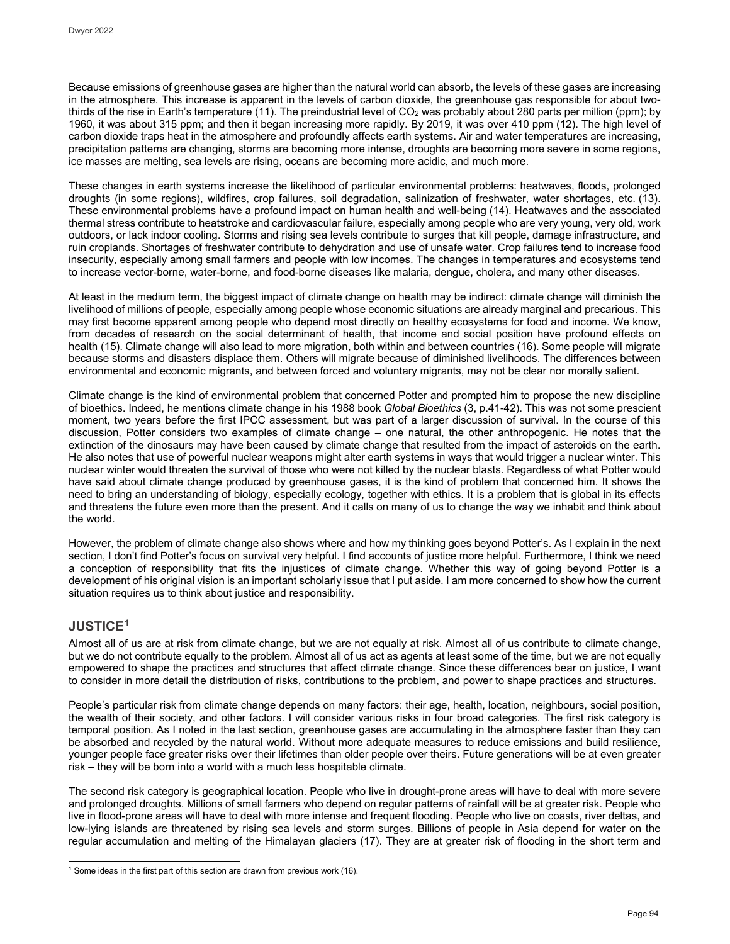Because emissions of greenhouse gases are higher than the natural world can absorb, the levels of these gases are increasing in the atmosphere. This increase is apparent in the levels of carbon dioxide, the greenhouse gas responsible for about twothirds of the rise in Earth's temperature (11). The preindustrial level of CO<sub>2</sub> was probably about 280 parts per million (ppm); by 1960, it was about 315 ppm; and then it began increasing more rapidly. By 2019, it was over 410 ppm (12). The high level of carbon dioxide traps heat in the atmosphere and profoundly affects earth systems. Air and water temperatures are increasing, precipitation patterns are changing, storms are becoming more intense, droughts are becoming more severe in some regions, ice masses are melting, sea levels are rising, oceans are becoming more acidic, and much more.

These changes in earth systems increase the likelihood of particular environmental problems: heatwaves, floods, prolonged droughts (in some regions), wildfires, crop failures, soil degradation, salinization of freshwater, water shortages, etc. (13). These environmental problems have a profound impact on human health and well-being (14). Heatwaves and the associated thermal stress contribute to heatstroke and cardiovascular failure, especially among people who are very young, very old, work outdoors, or lack indoor cooling. Storms and rising sea levels contribute to surges that kill people, damage infrastructure, and ruin croplands. Shortages of freshwater contribute to dehydration and use of unsafe water. Crop failures tend to increase food insecurity, especially among small farmers and people with low incomes. The changes in temperatures and ecosystems tend to increase vector-borne, water-borne, and food-borne diseases like malaria, dengue, cholera, and many other diseases.

At least in the medium term, the biggest impact of climate change on health may be indirect: climate change will diminish the livelihood of millions of people, especially among people whose economic situations are already marginal and precarious. This may first become apparent among people who depend most directly on healthy ecosystems for food and income. We know, from decades of research on the social determinant of health, that income and social position have profound effects on health (15). Climate change will also lead to more migration, both within and between countries (16). Some people will migrate because storms and disasters displace them. Others will migrate because of diminished livelihoods. The differences between environmental and economic migrants, and between forced and voluntary migrants, may not be clear nor morally salient.

Climate change is the kind of environmental problem that concerned Potter and prompted him to propose the new discipline of bioethics. Indeed, he mentions climate change in his 1988 book *Global Bioethics* (3, p.41-42). This was not some prescient moment, two years before the first IPCC assessment, but was part of a larger discussion of survival. In the course of this discussion, Potter considers two examples of climate change – one natural, the other anthropogenic. He notes that the extinction of the dinosaurs may have been caused by climate change that resulted from the impact of asteroids on the earth. He also notes that use of powerful nuclear weapons might alter earth systems in ways that would trigger a nuclear winter. This nuclear winter would threaten the survival of those who were not killed by the nuclear blasts. Regardless of what Potter would have said about climate change produced by greenhouse gases, it is the kind of problem that concerned him. It shows the need to bring an understanding of biology, especially ecology, together with ethics. It is a problem that is global in its effects and threatens the future even more than the present. And it calls on many of us to change the way we inhabit and think about the world.

However, the problem of climate change also shows where and how my thinking goes beyond Potter's. As I explain in the next section, I don't find Potter's focus on survival very helpful. I find accounts of justice more helpful. Furthermore, I think we need a conception of responsibility that fits the injustices of climate change. Whether this way of going beyond Potter is a development of his original vision is an important scholarly issue that I put aside. I am more concerned to show how the current situation requires us to think about justice and responsibility.

# **JUSTICE[1](#page-3-0)**

Almost all of us are at risk from climate change, but we are not equally at risk. Almost all of us contribute to climate change, but we do not contribute equally to the problem. Almost all of us act as agents at least some of the time, but we are not equally empowered to shape the practices and structures that affect climate change. Since these differences bear on justice, I want to consider in more detail the distribution of risks, contributions to the problem, and power to shape practices and structures.

People's particular risk from climate change depends on many factors: their age, health, location, neighbours, social position, the wealth of their society, and other factors. I will consider various risks in four broad categories. The first risk category is temporal position. As I noted in the last section, greenhouse gases are accumulating in the atmosphere faster than they can be absorbed and recycled by the natural world. Without more adequate measures to reduce emissions and build resilience, younger people face greater risks over their lifetimes than older people over theirs. Future generations will be at even greater risk – they will be born into a world with a much less hospitable climate.

The second risk category is geographical location. People who live in drought-prone areas will have to deal with more severe and prolonged droughts. Millions of small farmers who depend on regular patterns of rainfall will be at greater risk. People who live in flood-prone areas will have to deal with more intense and frequent flooding. People who live on coasts, river deltas, and low-lying islands are threatened by rising sea levels and storm surges. Billions of people in Asia depend for water on the regular accumulation and melting of the Himalayan glaciers (17). They are at greater risk of flooding in the short term and

<span id="page-3-0"></span>j  $1$  Some ideas in the first part of this section are drawn from previous work (16).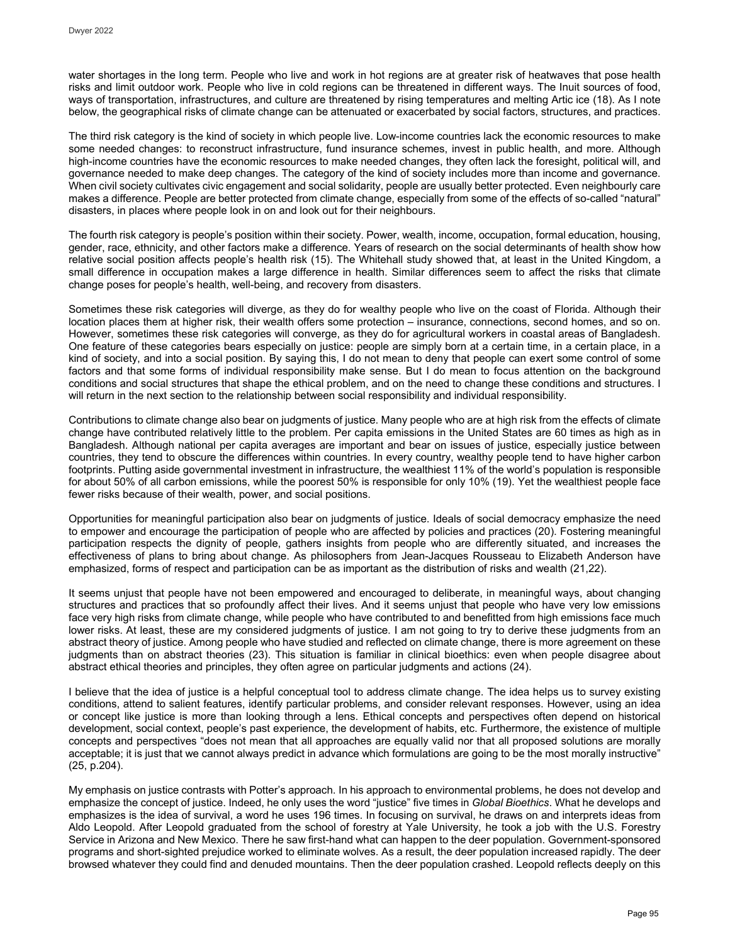water shortages in the long term. People who live and work in hot regions are at greater risk of heatwaves that pose health risks and limit outdoor work. People who live in cold regions can be threatened in different ways. The Inuit sources of food, ways of transportation, infrastructures, and culture are threatened by rising temperatures and melting Artic ice (18). As I note below, the geographical risks of climate change can be attenuated or exacerbated by social factors, structures, and practices.

The third risk category is the kind of society in which people live. Low-income countries lack the economic resources to make some needed changes: to reconstruct infrastructure, fund insurance schemes, invest in public health, and more. Although high-income countries have the economic resources to make needed changes, they often lack the foresight, political will, and governance needed to make deep changes. The category of the kind of society includes more than income and governance. When civil society cultivates civic engagement and social solidarity, people are usually better protected. Even neighbourly care makes a difference. People are better protected from climate change, especially from some of the effects of so-called "natural" disasters, in places where people look in on and look out for their neighbours.

The fourth risk category is people's position within their society. Power, wealth, income, occupation, formal education, housing, gender, race, ethnicity, and other factors make a difference. Years of research on the social determinants of health show how relative social position affects people's health risk (15). The Whitehall study showed that, at least in the United Kingdom, a small difference in occupation makes a large difference in health. Similar differences seem to affect the risks that climate change poses for people's health, well-being, and recovery from disasters.

Sometimes these risk categories will diverge, as they do for wealthy people who live on the coast of Florida. Although their location places them at higher risk, their wealth offers some protection – insurance, connections, second homes, and so on. However, sometimes these risk categories will converge, as they do for agricultural workers in coastal areas of Bangladesh. One feature of these categories bears especially on justice: people are simply born at a certain time, in a certain place, in a kind of society, and into a social position. By saying this, I do not mean to deny that people can exert some control of some factors and that some forms of individual responsibility make sense. But I do mean to focus attention on the background conditions and social structures that shape the ethical problem, and on the need to change these conditions and structures. I will return in the next section to the relationship between social responsibility and individual responsibility.

Contributions to climate change also bear on judgments of justice. Many people who are at high risk from the effects of climate change have contributed relatively little to the problem. Per capita emissions in the United States are 60 times as high as in Bangladesh. Although national per capita averages are important and bear on issues of justice, especially justice between countries, they tend to obscure the differences within countries. In every country, wealthy people tend to have higher carbon footprints. Putting aside governmental investment in infrastructure, the wealthiest 11% of the world's population is responsible for about 50% of all carbon emissions, while the poorest 50% is responsible for only 10% (19). Yet the wealthiest people face fewer risks because of their wealth, power, and social positions.

Opportunities for meaningful participation also bear on judgments of justice. Ideals of social democracy emphasize the need to empower and encourage the participation of people who are affected by policies and practices (20). Fostering meaningful participation respects the dignity of people, gathers insights from people who are differently situated, and increases the effectiveness of plans to bring about change. As philosophers from Jean-Jacques Rousseau to Elizabeth Anderson have emphasized, forms of respect and participation can be as important as the distribution of risks and wealth (21,22).

It seems unjust that people have not been empowered and encouraged to deliberate, in meaningful ways, about changing structures and practices that so profoundly affect their lives. And it seems unjust that people who have very low emissions face very high risks from climate change, while people who have contributed to and benefitted from high emissions face much lower risks. At least, these are my considered judgments of justice. I am not going to try to derive these judgments from an abstract theory of justice. Among people who have studied and reflected on climate change, there is more agreement on these judgments than on abstract theories (23). This situation is familiar in clinical bioethics: even when people disagree about abstract ethical theories and principles, they often agree on particular judgments and actions (24).

I believe that the idea of justice is a helpful conceptual tool to address climate change. The idea helps us to survey existing conditions, attend to salient features, identify particular problems, and consider relevant responses. However, using an idea or concept like justice is more than looking through a lens. Ethical concepts and perspectives often depend on historical development, social context, people's past experience, the development of habits, etc. Furthermore, the existence of multiple concepts and perspectives "does not mean that all approaches are equally valid nor that all proposed solutions are morally acceptable; it is just that we cannot always predict in advance which formulations are going to be the most morally instructive" (25, p.204).

My emphasis on justice contrasts with Potter's approach. In his approach to environmental problems, he does not develop and emphasize the concept of justice. Indeed, he only uses the word "justice" five times in *Global Bioethics*. What he develops and emphasizes is the idea of survival, a word he uses 196 times. In focusing on survival, he draws on and interprets ideas from Aldo Leopold. After Leopold graduated from the school of forestry at Yale University, he took a job with the U.S. Forestry Service in Arizona and New Mexico. There he saw first-hand what can happen to the deer population. Government-sponsored programs and short-sighted prejudice worked to eliminate wolves. As a result, the deer population increased rapidly. The deer browsed whatever they could find and denuded mountains. Then the deer population crashed. Leopold reflects deeply on this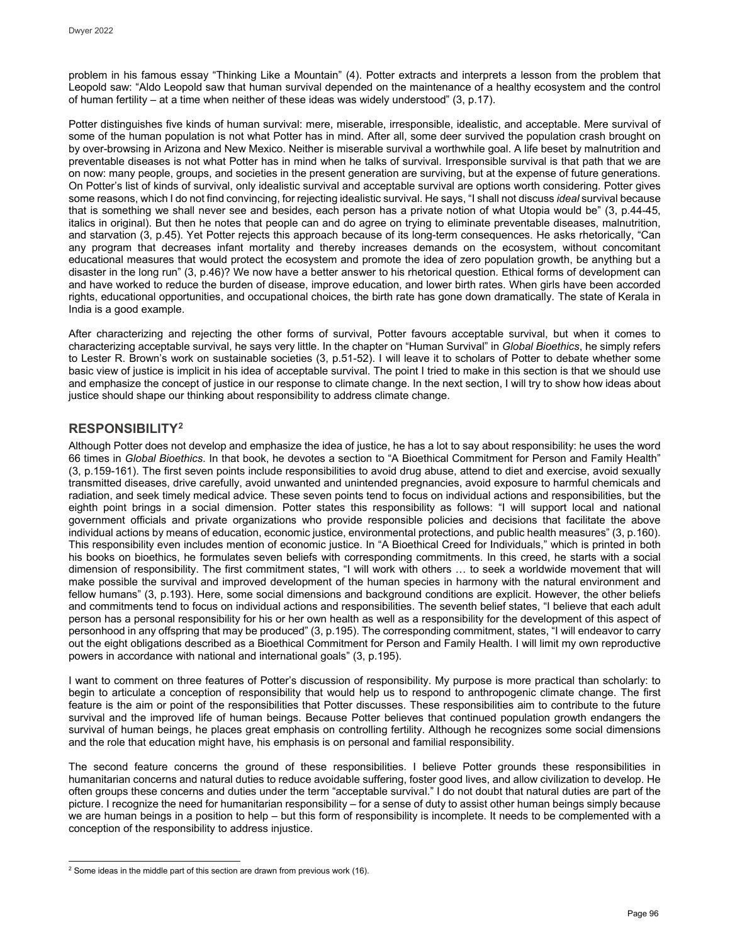problem in his famous essay "Thinking Like a Mountain" (4). Potter extracts and interprets a lesson from the problem that Leopold saw: "Aldo Leopold saw that human survival depended on the maintenance of a healthy ecosystem and the control of human fertility – at a time when neither of these ideas was widely understood" (3, p.17).

Potter distinguishes five kinds of human survival: mere, miserable, irresponsible, idealistic, and acceptable. Mere survival of some of the human population is not what Potter has in mind. After all, some deer survived the population crash brought on by over-browsing in Arizona and New Mexico. Neither is miserable survival a worthwhile goal. A life beset by malnutrition and preventable diseases is not what Potter has in mind when he talks of survival. Irresponsible survival is that path that we are on now: many people, groups, and societies in the present generation are surviving, but at the expense of future generations. On Potter's list of kinds of survival, only idealistic survival and acceptable survival are options worth considering. Potter gives some reasons, which I do not find convincing, for rejecting idealistic survival. He says, "I shall not discuss *ideal* survival because that is something we shall never see and besides, each person has a private notion of what Utopia would be" (3, p.44-45, italics in original). But then he notes that people can and do agree on trying to eliminate preventable diseases, malnutrition, and starvation (3, p.45). Yet Potter rejects this approach because of its long-term consequences. He asks rhetorically, "Can any program that decreases infant mortality and thereby increases demands on the ecosystem, without concomitant educational measures that would protect the ecosystem and promote the idea of zero population growth, be anything but a disaster in the long run" (3, p.46)? We now have a better answer to his rhetorical question. Ethical forms of development can and have worked to reduce the burden of disease, improve education, and lower birth rates. When girls have been accorded rights, educational opportunities, and occupational choices, the birth rate has gone down dramatically. The state of Kerala in India is a good example.

After characterizing and rejecting the other forms of survival, Potter favours acceptable survival, but when it comes to characterizing acceptable survival, he says very little. In the chapter on "Human Survival" in *Global Bioethics*, he simply refers to Lester R. Brown's work on sustainable societies (3, p.51-52). I will leave it to scholars of Potter to debate whether some basic view of justice is implicit in his idea of acceptable survival. The point I tried to make in this section is that we should use and emphasize the concept of justice in our response to climate change. In the next section, I will try to show how ideas about justice should shape our thinking about responsibility to address climate change.

# **RESPONSIBILITY[2](#page-5-0)**

Although Potter does not develop and emphasize the idea of justice, he has a lot to say about responsibility: he uses the word 66 times in *Global Bioethics*. In that book, he devotes a section to "A Bioethical Commitment for Person and Family Health" (3, p.159-161). The first seven points include responsibilities to avoid drug abuse, attend to diet and exercise, avoid sexually transmitted diseases, drive carefully, avoid unwanted and unintended pregnancies, avoid exposure to harmful chemicals and radiation, and seek timely medical advice. These seven points tend to focus on individual actions and responsibilities, but the eighth point brings in a social dimension. Potter states this responsibility as follows: "I will support local and national government officials and private organizations who provide responsible policies and decisions that facilitate the above individual actions by means of education, economic justice, environmental protections, and public health measures" (3, p.160). This responsibility even includes mention of economic justice. In "A Bioethical Creed for Individuals," which is printed in both his books on bioethics, he formulates seven beliefs with corresponding commitments. In this creed, he starts with a social dimension of responsibility. The first commitment states, "I will work with others … to seek a worldwide movement that will make possible the survival and improved development of the human species in harmony with the natural environment and fellow humans" (3, p.193). Here, some social dimensions and background conditions are explicit. However, the other beliefs and commitments tend to focus on individual actions and responsibilities. The seventh belief states, "I believe that each adult person has a personal responsibility for his or her own health as well as a responsibility for the development of this aspect of personhood in any offspring that may be produced" (3, p.195). The corresponding commitment, states, "I will endeavor to carry out the eight obligations described as a Bioethical Commitment for Person and Family Health. I will limit my own reproductive powers in accordance with national and international goals" (3, p.195).

I want to comment on three features of Potter's discussion of responsibility. My purpose is more practical than scholarly: to begin to articulate a conception of responsibility that would help us to respond to anthropogenic climate change. The first feature is the aim or point of the responsibilities that Potter discusses. These responsibilities aim to contribute to the future survival and the improved life of human beings. Because Potter believes that continued population growth endangers the survival of human beings, he places great emphasis on controlling fertility. Although he recognizes some social dimensions and the role that education might have, his emphasis is on personal and familial responsibility.

The second feature concerns the ground of these responsibilities. I believe Potter grounds these responsibilities in humanitarian concerns and natural duties to reduce avoidable suffering, foster good lives, and allow civilization to develop. He often groups these concerns and duties under the term "acceptable survival." I do not doubt that natural duties are part of the picture. I recognize the need for humanitarian responsibility – for a sense of duty to assist other human beings simply because we are human beings in a position to help – but this form of responsibility is incomplete. It needs to be complemented with a conception of the responsibility to address injustice.

<span id="page-5-0"></span>j  $2$  Some ideas in the middle part of this section are drawn from previous work (16).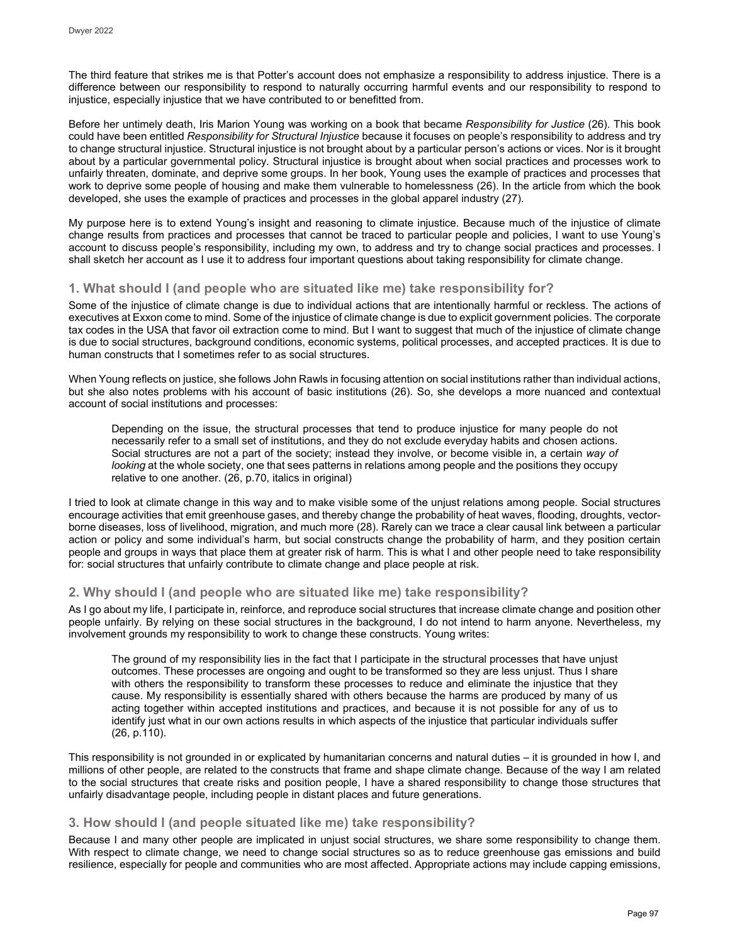The third feature that strikes me is that Potter's account does not emphasize a responsibility to address injustice. There is a difference between our responsibility to respond to naturally occurring harmful events and our responsibility to respond to injustice, especially injustice that we have contributed to or benefitted from.

Before her untimely death, Iris Marion Young was working on a book that became *Responsibility for Justice* (26). This book could have been entitled *Responsibility for Structural Injustice* because it focuses on people's responsibility to address and try to change structural injustice. Structural injustice is not brought about by a particular person's actions or vices. Nor is it brought about by a particular governmental policy. Structural injustice is brought about when social practices and processes work to unfairly threaten, dominate, and deprive some groups. In her book, Young uses the example of practices and processes that work to deprive some people of housing and make them vulnerable to homelessness (26). In the article from which the book developed, she uses the example of practices and processes in the global apparel industry (27).

My purpose here is to extend Young's insight and reasoning to climate injustice. Because much of the injustice of climate change results from practices and processes that cannot be traced to particular people and policies, I want to use Young's account to discuss people's responsibility, including my own, to address and try to change social practices and processes. I shall sketch her account as I use it to address four important questions about taking responsibility for climate change.

# **1. What should I (and people who are situated like me) take responsibility for?**

Some of the injustice of climate change is due to individual actions that are intentionally harmful or reckless. The actions of executives at Exxon come to mind. Some of the injustice of climate change is due to explicit government policies. The corporate tax codes in the USA that favor oil extraction come to mind. But I want to suggest that much of the injustice of climate change is due to social structures, background conditions, economic systems, political processes, and accepted practices. It is due to human constructs that I sometimes refer to as social structures.

When Young reflects on justice, she follows John Rawls in focusing attention on social institutions rather than individual actions, but she also notes problems with his account of basic institutions (26). So, she develops a more nuanced and contextual account of social institutions and processes:

Depending on the issue, the structural processes that tend to produce injustice for many people do not necessarily refer to a small set of institutions, and they do not exclude everyday habits and chosen actions. Social structures are not a part of the society; instead they involve, or become visible in, a certain *way of looking* at the whole society, one that sees patterns in relations among people and the positions they occupy relative to one another. (26, p.70, italics in original)

I tried to look at climate change in this way and to make visible some of the unjust relations among people. Social structures encourage activities that emit greenhouse gases, and thereby change the probability of heat waves, flooding, droughts, vectorborne diseases, loss of livelihood, migration, and much more (28). Rarely can we trace a clear causal link between a particular action or policy and some individual's harm, but social constructs change the probability of harm, and they position certain people and groups in ways that place them at greater risk of harm. This is what I and other people need to take responsibility for: social structures that unfairly contribute to climate change and place people at risk.

# **2. Why should I (and people who are situated like me) take responsibility?**

As I go about my life, I participate in, reinforce, and reproduce social structures that increase climate change and position other people unfairly. By relying on these social structures in the background, I do not intend to harm anyone. Nevertheless, my involvement grounds my responsibility to work to change these constructs. Young writes:

The ground of my responsibility lies in the fact that I participate in the structural processes that have unjust outcomes. These processes are ongoing and ought to be transformed so they are less unjust. Thus I share with others the responsibility to transform these processes to reduce and eliminate the injustice that they cause. My responsibility is essentially shared with others because the harms are produced by many of us acting together within accepted institutions and practices, and because it is not possible for any of us to identify just what in our own actions results in which aspects of the injustice that particular individuals suffer (26, p.110).

This responsibility is not grounded in or explicated by humanitarian concerns and natural duties – it is grounded in how I, and millions of other people, are related to the constructs that frame and shape climate change. Because of the way I am related to the social structures that create risks and position people, I have a shared responsibility to change those structures that unfairly disadvantage people, including people in distant places and future generations.

# **3. How should I (and people situated like me) take responsibility?**

Because I and many other people are implicated in unjust social structures, we share some responsibility to change them. With respect to climate change, we need to change social structures so as to reduce greenhouse gas emissions and build resilience, especially for people and communities who are most affected. Appropriate actions may include capping emissions,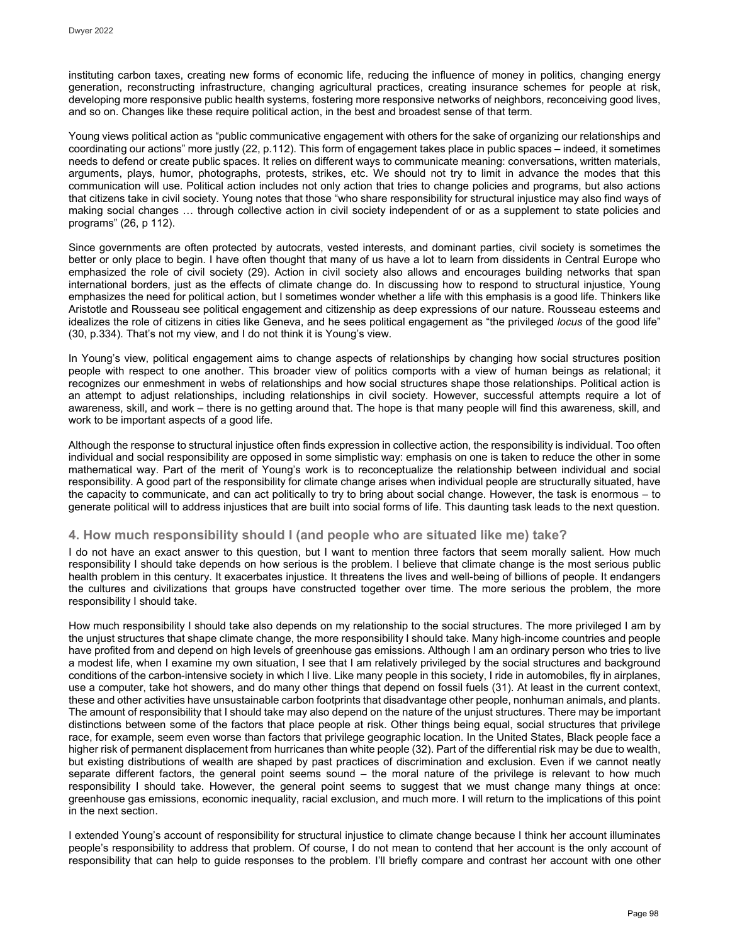instituting carbon taxes, creating new forms of economic life, reducing the influence of money in politics, changing energy generation, reconstructing infrastructure, changing agricultural practices, creating insurance schemes for people at risk, developing more responsive public health systems, fostering more responsive networks of neighbors, reconceiving good lives, and so on. Changes like these require political action, in the best and broadest sense of that term.

Young views political action as "public communicative engagement with others for the sake of organizing our relationships and coordinating our actions" more justly (22, p.112). This form of engagement takes place in public spaces – indeed, it sometimes needs to defend or create public spaces. It relies on different ways to communicate meaning: conversations, written materials, arguments, plays, humor, photographs, protests, strikes, etc. We should not try to limit in advance the modes that this communication will use. Political action includes not only action that tries to change policies and programs, but also actions that citizens take in civil society. Young notes that those "who share responsibility for structural injustice may also find ways of making social changes … through collective action in civil society independent of or as a supplement to state policies and programs" (26, p 112).

Since governments are often protected by autocrats, vested interests, and dominant parties, civil society is sometimes the better or only place to begin. I have often thought that many of us have a lot to learn from dissidents in Central Europe who emphasized the role of civil society (29). Action in civil society also allows and encourages building networks that span international borders, just as the effects of climate change do. In discussing how to respond to structural injustice, Young emphasizes the need for political action, but I sometimes wonder whether a life with this emphasis is a good life. Thinkers like Aristotle and Rousseau see political engagement and citizenship as deep expressions of our nature. Rousseau esteems and idealizes the role of citizens in cities like Geneva, and he sees political engagement as "the privileged *locus* of the good life" (30, p.334). That's not my view, and I do not think it is Young's view.

In Young's view, political engagement aims to change aspects of relationships by changing how social structures position people with respect to one another. This broader view of politics comports with a view of human beings as relational; it recognizes our enmeshment in webs of relationships and how social structures shape those relationships. Political action is an attempt to adjust relationships, including relationships in civil society. However, successful attempts require a lot of awareness, skill, and work – there is no getting around that. The hope is that many people will find this awareness, skill, and work to be important aspects of a good life.

Although the response to structural injustice often finds expression in collective action, the responsibility is individual. Too often individual and social responsibility are opposed in some simplistic way: emphasis on one is taken to reduce the other in some mathematical way. Part of the merit of Young's work is to reconceptualize the relationship between individual and social responsibility. A good part of the responsibility for climate change arises when individual people are structurally situated, have the capacity to communicate, and can act politically to try to bring about social change. However, the task is enormous – to generate political will to address injustices that are built into social forms of life. This daunting task leads to the next question.

# **4. How much responsibility should I (and people who are situated like me) take?**

I do not have an exact answer to this question, but I want to mention three factors that seem morally salient. How much responsibility I should take depends on how serious is the problem. I believe that climate change is the most serious public health problem in this century. It exacerbates injustice. It threatens the lives and well-being of billions of people. It endangers the cultures and civilizations that groups have constructed together over time. The more serious the problem, the more responsibility I should take.

How much responsibility I should take also depends on my relationship to the social structures. The more privileged I am by the unjust structures that shape climate change, the more responsibility I should take. Many high-income countries and people have profited from and depend on high levels of greenhouse gas emissions. Although I am an ordinary person who tries to live a modest life, when I examine my own situation, I see that I am relatively privileged by the social structures and background conditions of the carbon-intensive society in which I live. Like many people in this society, I ride in automobiles, fly in airplanes, use a computer, take hot showers, and do many other things that depend on fossil fuels (31). At least in the current context, these and other activities have unsustainable carbon footprints that disadvantage other people, nonhuman animals, and plants. The amount of responsibility that I should take may also depend on the nature of the unjust structures. There may be important distinctions between some of the factors that place people at risk. Other things being equal, social structures that privilege race, for example, seem even worse than factors that privilege geographic location. In the United States, Black people face a higher risk of permanent displacement from hurricanes than white people (32). Part of the differential risk may be due to wealth, but existing distributions of wealth are shaped by past practices of discrimination and exclusion. Even if we cannot neatly separate different factors, the general point seems sound – the moral nature of the privilege is relevant to how much responsibility I should take. However, the general point seems to suggest that we must change many things at once: greenhouse gas emissions, economic inequality, racial exclusion, and much more. I will return to the implications of this point in the next section.

I extended Young's account of responsibility for structural injustice to climate change because I think her account illuminates people's responsibility to address that problem. Of course, I do not mean to contend that her account is the only account of responsibility that can help to guide responses to the problem. I'll briefly compare and contrast her account with one other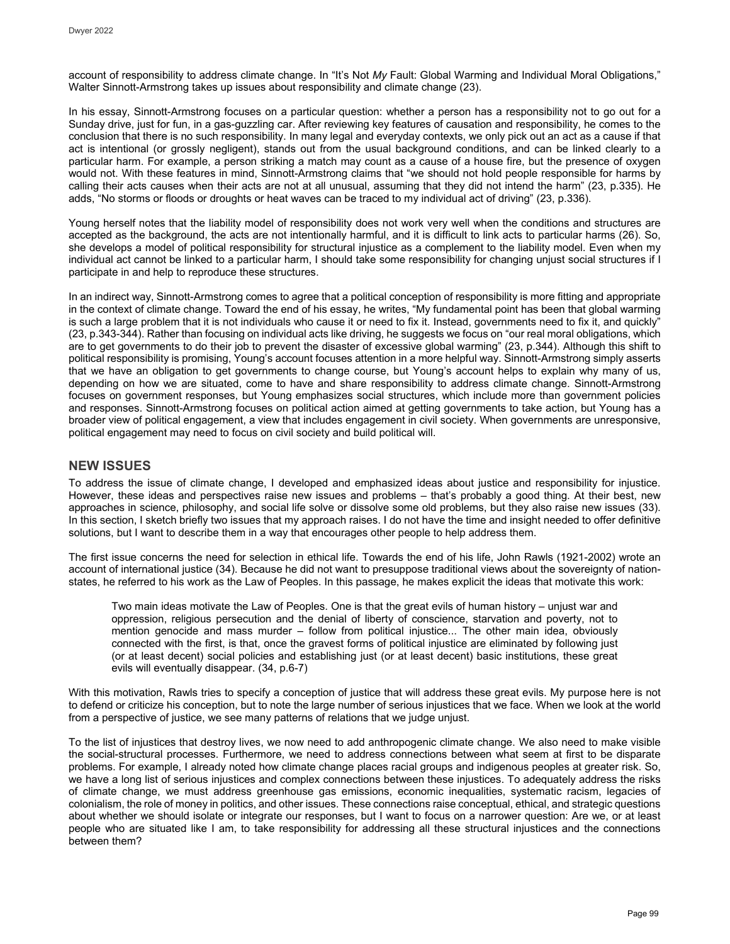account of responsibility to address climate change. In "It's Not *My* Fault: Global Warming and Individual Moral Obligations," Walter Sinnott-Armstrong takes up issues about responsibility and climate change (23).

In his essay, Sinnott-Armstrong focuses on a particular question: whether a person has a responsibility not to go out for a Sunday drive, just for fun, in a gas-guzzling car. After reviewing key features of causation and responsibility, he comes to the conclusion that there is no such responsibility. In many legal and everyday contexts, we only pick out an act as a cause if that act is intentional (or grossly negligent), stands out from the usual background conditions, and can be linked clearly to a particular harm. For example, a person striking a match may count as a cause of a house fire, but the presence of oxygen would not. With these features in mind, Sinnott-Armstrong claims that "we should not hold people responsible for harms by calling their acts causes when their acts are not at all unusual, assuming that they did not intend the harm" (23, p.335). He adds, "No storms or floods or droughts or heat waves can be traced to my individual act of driving" (23, p.336).

Young herself notes that the liability model of responsibility does not work very well when the conditions and structures are accepted as the background, the acts are not intentionally harmful, and it is difficult to link acts to particular harms (26). So, she develops a model of political responsibility for structural injustice as a complement to the liability model. Even when my individual act cannot be linked to a particular harm, I should take some responsibility for changing unjust social structures if I participate in and help to reproduce these structures.

In an indirect way, Sinnott-Armstrong comes to agree that a political conception of responsibility is more fitting and appropriate in the context of climate change. Toward the end of his essay, he writes, "My fundamental point has been that global warming is such a large problem that it is not individuals who cause it or need to fix it. Instead, governments need to fix it, and quickly" (23, p.343-344). Rather than focusing on individual acts like driving, he suggests we focus on "our real moral obligations, which are to get governments to do their job to prevent the disaster of excessive global warming" (23, p.344). Although this shift to political responsibility is promising, Young's account focuses attention in a more helpful way. Sinnott-Armstrong simply asserts that we have an obligation to get governments to change course, but Young's account helps to explain why many of us, depending on how we are situated, come to have and share responsibility to address climate change. Sinnott-Armstrong focuses on government responses, but Young emphasizes social structures, which include more than government policies and responses. Sinnott-Armstrong focuses on political action aimed at getting governments to take action, but Young has a broader view of political engagement, a view that includes engagement in civil society. When governments are unresponsive, political engagement may need to focus on civil society and build political will.

# **NEW ISSUES**

To address the issue of climate change, I developed and emphasized ideas about justice and responsibility for injustice. However, these ideas and perspectives raise new issues and problems – that's probably a good thing. At their best, new approaches in science, philosophy, and social life solve or dissolve some old problems, but they also raise new issues (33). In this section, I sketch briefly two issues that my approach raises. I do not have the time and insight needed to offer definitive solutions, but I want to describe them in a way that encourages other people to help address them.

The first issue concerns the need for selection in ethical life. Towards the end of his life, John Rawls (1921-2002) wrote an account of international justice (34). Because he did not want to presuppose traditional views about the sovereignty of nationstates, he referred to his work as the Law of Peoples. In this passage, he makes explicit the ideas that motivate this work:

Two main ideas motivate the Law of Peoples. One is that the great evils of human history – unjust war and oppression, religious persecution and the denial of liberty of conscience, starvation and poverty, not to mention genocide and mass murder – follow from political injustice... The other main idea, obviously connected with the first, is that, once the gravest forms of political injustice are eliminated by following just (or at least decent) social policies and establishing just (or at least decent) basic institutions, these great evils will eventually disappear. (34, p.6-7)

With this motivation, Rawls tries to specify a conception of justice that will address these great evils. My purpose here is not to defend or criticize his conception, but to note the large number of serious injustices that we face. When we look at the world from a perspective of justice, we see many patterns of relations that we judge unjust.

To the list of injustices that destroy lives, we now need to add anthropogenic climate change. We also need to make visible the social-structural processes. Furthermore, we need to address connections between what seem at first to be disparate problems. For example, I already noted how climate change places racial groups and indigenous peoples at greater risk. So, we have a long list of serious injustices and complex connections between these injustices. To adequately address the risks of climate change, we must address greenhouse gas emissions, economic inequalities, systematic racism, legacies of colonialism, the role of money in politics, and other issues. These connections raise conceptual, ethical, and strategic questions about whether we should isolate or integrate our responses, but I want to focus on a narrower question: Are we, or at least people who are situated like I am, to take responsibility for addressing all these structural injustices and the connections between them?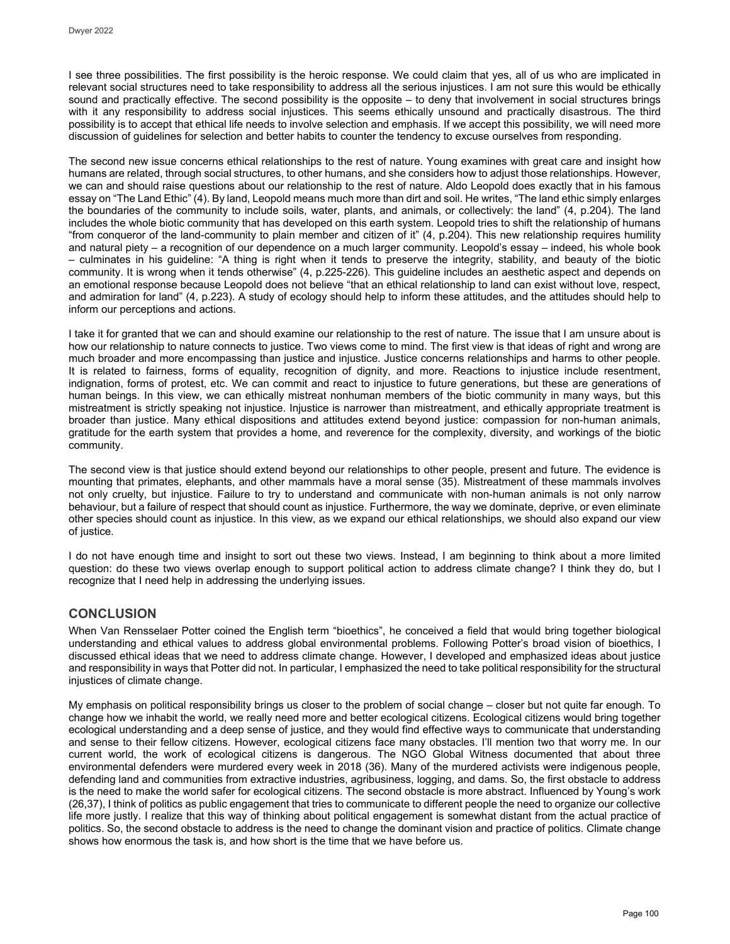I see three possibilities. The first possibility is the heroic response. We could claim that yes, all of us who are implicated in relevant social structures need to take responsibility to address all the serious injustices. I am not sure this would be ethically sound and practically effective. The second possibility is the opposite – to deny that involvement in social structures brings with it any responsibility to address social injustices. This seems ethically unsound and practically disastrous. The third possibility is to accept that ethical life needs to involve selection and emphasis. If we accept this possibility, we will need more discussion of guidelines for selection and better habits to counter the tendency to excuse ourselves from responding.

The second new issue concerns ethical relationships to the rest of nature. Young examines with great care and insight how humans are related, through social structures, to other humans, and she considers how to adjust those relationships. However, we can and should raise questions about our relationship to the rest of nature. Aldo Leopold does exactly that in his famous essay on "The Land Ethic" (4). By land, Leopold means much more than dirt and soil. He writes, "The land ethic simply enlarges the boundaries of the community to include soils, water, plants, and animals, or collectively: the land" (4, p.204). The land includes the whole biotic community that has developed on this earth system. Leopold tries to shift the relationship of humans "from conqueror of the land-community to plain member and citizen of it" (4, p.204). This new relationship requires humility and natural piety – a recognition of our dependence on a much larger community. Leopold's essay – indeed, his whole book – culminates in his guideline: "A thing is right when it tends to preserve the integrity, stability, and beauty of the biotic community. It is wrong when it tends otherwise" (4, p.225-226). This guideline includes an aesthetic aspect and depends on an emotional response because Leopold does not believe "that an ethical relationship to land can exist without love, respect, and admiration for land" (4, p.223). A study of ecology should help to inform these attitudes, and the attitudes should help to inform our perceptions and actions.

I take it for granted that we can and should examine our relationship to the rest of nature. The issue that I am unsure about is how our relationship to nature connects to justice. Two views come to mind. The first view is that ideas of right and wrong are much broader and more encompassing than justice and injustice. Justice concerns relationships and harms to other people. It is related to fairness, forms of equality, recognition of dignity, and more. Reactions to injustice include resentment, indignation, forms of protest, etc. We can commit and react to injustice to future generations, but these are generations of human beings. In this view, we can ethically mistreat nonhuman members of the biotic community in many ways, but this mistreatment is strictly speaking not injustice. Injustice is narrower than mistreatment, and ethically appropriate treatment is broader than justice. Many ethical dispositions and attitudes extend beyond justice: compassion for non-human animals, gratitude for the earth system that provides a home, and reverence for the complexity, diversity, and workings of the biotic community.

The second view is that justice should extend beyond our relationships to other people, present and future. The evidence is mounting that primates, elephants, and other mammals have a moral sense (35). Mistreatment of these mammals involves not only cruelty, but injustice. Failure to try to understand and communicate with non-human animals is not only narrow behaviour, but a failure of respect that should count as injustice. Furthermore, the way we dominate, deprive, or even eliminate other species should count as injustice. In this view, as we expand our ethical relationships, we should also expand our view of justice.

I do not have enough time and insight to sort out these two views. Instead, I am beginning to think about a more limited question: do these two views overlap enough to support political action to address climate change? I think they do, but I recognize that I need help in addressing the underlying issues.

# **CONCLUSION**

When Van Rensselaer Potter coined the English term "bioethics", he conceived a field that would bring together biological understanding and ethical values to address global environmental problems. Following Potter's broad vision of bioethics, I discussed ethical ideas that we need to address climate change. However, I developed and emphasized ideas about justice and responsibility in ways that Potter did not. In particular, I emphasized the need to take political responsibility for the structural injustices of climate change.

My emphasis on political responsibility brings us closer to the problem of social change – closer but not quite far enough. To change how we inhabit the world, we really need more and better ecological citizens. Ecological citizens would bring together ecological understanding and a deep sense of justice, and they would find effective ways to communicate that understanding and sense to their fellow citizens. However, ecological citizens face many obstacles. I'll mention two that worry me. In our current world, the work of ecological citizens is dangerous. The NGO Global Witness documented that about three environmental defenders were murdered every week in 2018 (36). Many of the murdered activists were indigenous people, defending land and communities from extractive industries, agribusiness, logging, and dams. So, the first obstacle to address is the need to make the world safer for ecological citizens. The second obstacle is more abstract. Influenced by Young's work (26,37), I think of politics as public engagement that tries to communicate to different people the need to organize our collective life more justly. I realize that this way of thinking about political engagement is somewhat distant from the actual practice of politics. So, the second obstacle to address is the need to change the dominant vision and practice of politics. Climate change shows how enormous the task is, and how short is the time that we have before us.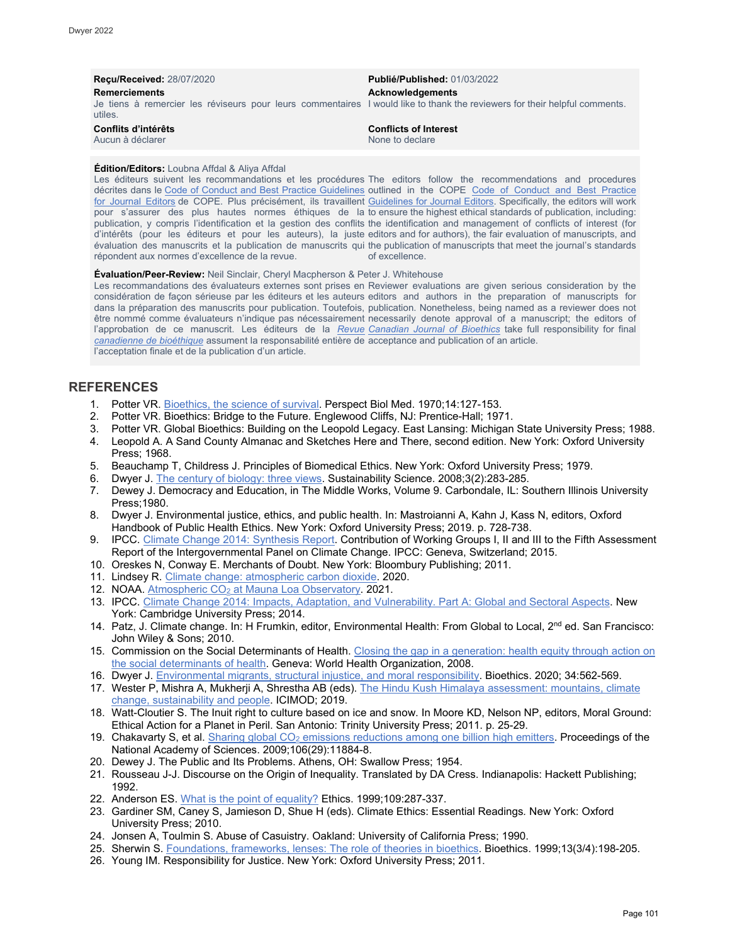| <b>Recu/Received: 28/07/2020</b>                                                                                                                              | <b>Publié/Published: 01/03/2022</b>             |
|---------------------------------------------------------------------------------------------------------------------------------------------------------------|-------------------------------------------------|
| <b>Remerciements</b><br>Je tiens à remercier les réviseurs pour leurs commentaires I would like to thank the reviewers for their helpful comments.<br>utiles. | Acknowledgements                                |
| Conflits d'intérêts<br>Aucun à déclarer                                                                                                                       | <b>Conflicts of Interest</b><br>None to declare |

#### **Édition/Editors:** Loubna Affdal & Aliya Affdal

Les éditeurs suivent les recommandations et les procédures The editors follow the recommendations and procedures décrites dans le [Code of Conduct and Best Practice Guidelines](http://publicationethics.org/resources/code-conduct) outlined in the COPE Code of Conduct and Best Practice <u>[for Journal Editors](http://publicationethics.org/resources/code-conduct)</u> de COPE. Plus précisément, ils travaillent <u>Guidelines for Journal Editors</u>. Specifically, the editors will work pour s'assurer des plus hautes normes éthiques de la to ensure the highest ethical standards of publication, including: publication, y compris l'identification et la gestion des conflits the identification and management of conflicts of interest (for d'intérêts (pour les éditeurs et pour les auteurs), la juste editors and for authors), the fair evaluation of manuscripts, and évaluation des manuscrits et la publication de manuscrits qui the publication of manuscripts that meet the journal's standards répondent aux normes d'excellence de la revue. of excellence.

#### **Évaluation/Peer-Review:** Neil Sinclair, Cheryl Macpherson & Peter J. Whitehouse

Les recommandations des évaluateurs externes sont prises en Reviewer evaluations are given serious consideration by the considération de façon sérieuse par les éditeurs et les auteurs editors and authors in the preparation of manuscripts for dans la préparation des manuscrits pour publication. Toutefois, publication. Nonetheless, being named as a reviewer does not être nommé comme évaluateurs n'indique pas nécessairement necessarily denote approval of a manuscript; the editors of l'approbation de ce manuscrit. Les éditeurs de la <u>*[Revue](http://cjb-rcb.ca/) [Canadian Journal of Bioethics](http://cjb-rcb.ca/)*</u> take full responsibility for final *[canadienne de bioéthique](http://cjb-rcb.ca/)* assument la responsabilité entière de acceptance and publication of an article. l'acceptation finale et de la publication d'un article.

# **REFERENCES**

- 1. Potter VR. [Bioethics, the science of survival.](https://muse.jhu.edu/article/405198/pdf) Perspect Biol Med. 1970;14:127-153.
- 2. Potter VR. Bioethics: Bridge to the Future. Englewood Cliffs, NJ: Prentice-Hall; 1971.
- 3. Potter VR. Global Bioethics: Building on the Leopold Legacy. East Lansing: Michigan State University Press; 1988.
- 4. Leopold A. A Sand County Almanac and Sketches Here and There, second edition. New York: Oxford University Press; 1968.
- 5. Beauchamp T, Childress J. Principles of Biomedical Ethics. New York: Oxford University Press; 1979.
- 6. Dwyer J. [The century of biology: three views.](https://www.researchgate.net/publication/225460727_The_century_of_biology_Three_views) Sustainability Science. 2008;3(2):283-285.
- 7. Dewey J. Democracy and Education, in The Middle Works, Volume 9. Carbondale, IL: Southern Illinois University Press;1980.
- 8. Dwyer J. Environmental justice, ethics, and public health. In: Mastroianni A, Kahn J, Kass N, editors, Oxford Handbook of Public Health Ethics. New York: Oxford University Press; 2019. p. 728-738.
- 9. IPCC. [Climate Change 2014: Synthesis Report.](https://www.ipcc.ch/site/assets/uploads/2018/02/SYR_AR5_FINAL_full.pdf) Contribution of Working Groups I, II and III to the Fifth Assessment Report of the Intergovernmental Panel on Climate Change. IPCC: Geneva, Switzerland; 2015.
- 10. Oreskes N, Conway E. Merchants of Doubt. New York: Bloombury Publishing; 2011.
- 11. Lindsey R. [Climate change: atmospheric carbon dioxide.](https://www.climate.gov/news-features/understanding-climate/climate-change-atmospheric-carbon-dioxide) 2020.
- 12. NOAA. Atmospheric CO<sub>2</sub> [at Mauna Loa Observatory.](https://www.esrl.noaa.gov/gmd/ccgg/trends/) 2021.
- 13. IPCC. [Climate Change 2014: Impacts, Adaptation, and Vulnerability. Part A: Global and Sectoral Aspects.](https://www.ipcc.ch/site/assets/uploads/2018/02/WGIIAR5-PartA_FINAL.pdf) New York: Cambridge University Press; 2014.
- 14. Patz, J. Climate change. In: H Frumkin, editor, Environmental Health: From Global to Local, 2<sup>nd</sup> ed. San Francisco: John Wiley & Sons; 2010.
- 15. Commission on the Social Determinants of Health. [Closing the gap in a generation: health equity through action on](https://apps.who.int/iris/bitstream/handle/10665/43943/9789241563703_eng.pdf;jsessionid=031F71718860024DDFFBF7106D27B69E?sequence=1)  [the social determinants of health.](https://apps.who.int/iris/bitstream/handle/10665/43943/9789241563703_eng.pdf;jsessionid=031F71718860024DDFFBF7106D27B69E?sequence=1) Geneva: World Health Organization, 2008.
- 16. Dwyer J. [Environmental migrants, structural injustice, and moral responsibility.](https://onlinelibrary.wiley.com/doi/full/10.1111/bioe.12738) Bioethics. 2020; 34:562-569.
- 17. Wester P, Mishra A, Mukherji A, Shrestha AB (eds). The Hindu Kush Himalaya assessment: mountains, climate [change, sustainability and people.](https://lib.icimod.org/record/34383) ICIMOD; 2019.
- 18. Watt-Cloutier S. The Inuit right to culture based on ice and snow. In Moore KD, Nelson NP, editors, Moral Ground: Ethical Action for a Planet in Peril. San Antonio: Trinity University Press; 2011. p. 25-29.
- 19. Chakavarty S, et al. Sharing global CO<sub>2</sub> [emissions reductions among one billion high emitters.](https://www.pnas.org/content/106/29/11884) Proceedings of the National Academy of Sciences. 2009;106(29):11884-8.
- 20. Dewey J. The Public and Its Problems. Athens, OH: Swallow Press; 1954.
- 21. Rousseau J-J. Discourse on the Origin of Inequality. Translated by DA Cress. Indianapolis: Hackett Publishing; 1992.
- 22. Anderson ES. [What is the point of equality?](https://www.journals.uchicago.edu/doi/10.1086/233897) Ethics. 1999;109:287-337.
- 23. Gardiner SM, Caney S, Jamieson D, Shue H (eds). Climate Ethics: Essential Readings*.* New York: Oxford University Press; 2010.
- 24. Jonsen A, Toulmin S. Abuse of Casuistry. Oakland: University of California Press; 1990.
- 25. Sherwin S. [Foundations, frameworks, lenses: The role of theories in bioethics.](https://pubmed.ncbi.nlm.nih.gov/11657229/) Bioethics. 1999;13(3/4):198-205.
- 26. Young IM. Responsibility for Justice. New York: Oxford University Press; 2011.